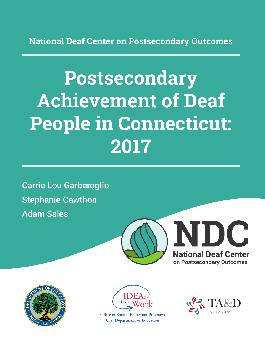**National Deaf Center on Postsecondary Outcomes**

# **Postsecondary Achievement of Deaf People in Connecticut: 2017**

Carrie Lou Garberoglio Stephanie Cawthon Adam Sales







**Office of Special Education Programs U.S. Department of Education** 

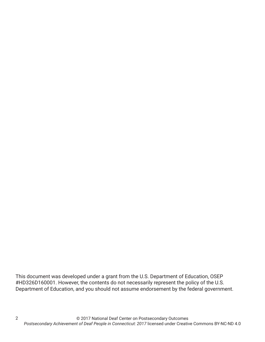This document was developed under a grant from the U.S. Department of Education, OSEP #HD326D160001. However, the contents do not necessarily represent the policy of the U.S. Department of Education, and you should not assume endorsement by the federal government.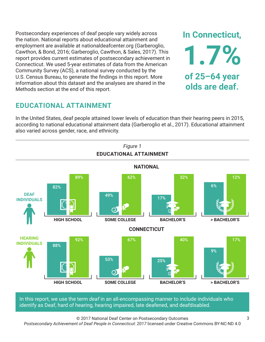Postsecondary experiences of deaf people vary widely across the nation. National reports about educational attainment and employment are available at nationaldeafcenter.org (Garberoglio, Cawthon, & Bond, 2016; Garberoglio, Cawthon, & Sales, 2017). This report provides current estimates of postsecondary achievement in Connecticut. We used 5-year estimates of data from the American Community Survey (ACS), a national survey conducted by the U.S. Census Bureau, to generate the findings in this report. More information about this dataset and the analyses are shared in the Methods section at the end of this report.

# **EDUCATIONAL ATTAINMENT**

In the United States, deaf people attained lower levels of education than their hearing peers in 2015, according to national educational attainment data (Garberoglio et al., 2017). Educational attainment also varied across gender, race, and ethnicity.



In this report, we use the term *deaf* in an all-encompassing manner to include individuals who identify as Deaf, hard of hearing, hearing impaired, late deafened, and deafdisabled.

© 2017 National Deaf Center on Postsecondary Outcomes

*Postsecondary Achievement of Deaf People in Connecticut: 2017* licensed under Creative Commons BY-NC-ND 4.0

**In Connecticut,**

**1.7%**

**of 25–64 year**

**olds are deaf.**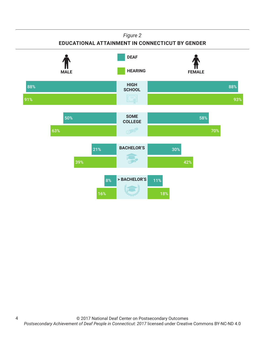### *Figure 2*

### **EDUCATIONAL ATTAINMENT IN CONNECTICUT BY GENDER**

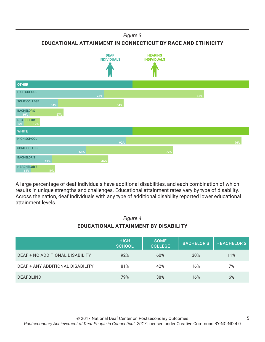*Figure 3*

**EDUCATIONAL ATTAINMENT IN CONNECTICUT BY RACE AND ETHNICITY**



A large percentage of deaf individuals have additional disabilities, and each combination of which results in unique strengths and challenges. Educational attainment rates vary by type of disability. Across the nation, deaf individuals with any type of additional disability reported lower educational attainment levels.

| Figure 4<br>EDUCATIONAL ATTAINMENT BY DISABILITY |                              |                               |                   |                        |
|--------------------------------------------------|------------------------------|-------------------------------|-------------------|------------------------|
|                                                  | <b>HIGH</b><br><b>SCHOOL</b> | <b>SOME</b><br><b>COLLEGE</b> | <b>BACHELOR'S</b> | <b>&gt; BACHELOR'S</b> |
| DEAF + NO ADDITIONAL DISABILITY                  | 92%                          | 60%                           | 30%               | 11%                    |
| DEAF + ANY ADDITIONAL DISABILITY                 | 81%                          | 42%                           | 16%               | 7%                     |
| <b>DEAFBLIND</b>                                 | 79%                          | 38%                           | 16%               | 6%                     |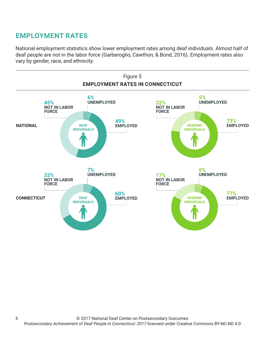# **EMPLOYMENT RATES**

6

National employment statistics show lower employment rates among deaf individuals. Almost half of deaf people are not in the labor force (Garberoglio, Cawthon, & Bond, 2016). Employment rates also vary by gender, race, and ethnicity.

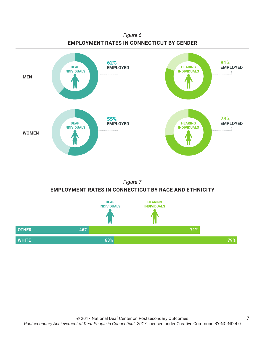

### *Figure 7* **EMPLOYMENT RATES IN CONNECTICUT BY RACE AND ETHNICITY**

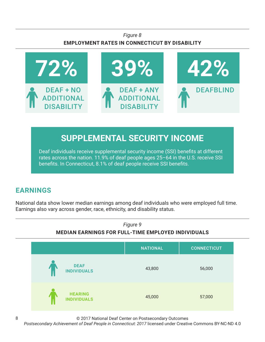### *Figure 8* **EMPLOYMENT RATES IN CONNECTICUT BY DISABILITY**



# **SUPPLEMENTAL SECURITY INCOME**

Deaf individuals receive supplemental security income (SSI) benefits at different rates across the nation. 11.9% of deaf people ages 25–64 in the U.S. receive SSI benefits. In Connecticut, 8.1% of deaf people receive SSI benefits.

# **EARNINGS**

National data show lower median earnings among deaf individuals who were employed full time. Earnings also vary across gender, race, ethnicity, and disability status.



© 2017 National Deaf Center on Postsecondary Outcomes

*Postsecondary Achievement of Deaf People in Connecticut: 2017* licensed under Creative Commons BY-NC-ND 4.0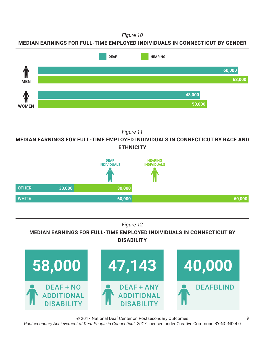*Figure 10*

**MEDIAN EARNINGS FOR FULL-TIME EMPLOYED INDIVIDUALS IN CONNECTICUT BY GENDER**



*Figure 11*

**MEDIAN EARNINGS FOR FULL-TIME EMPLOYED INDIVIDUALS IN CONNECTICUT BY RACE AND ETHNICITY**



### *Figure 12*

### **MEDIAN EARNINGS FOR FULL-TIME EMPLOYED INDIVIDUALS IN CONNECTICUT BY DISABILITY**



© 2017 National Deaf Center on Postsecondary Outcomes *Postsecondary Achievement of Deaf People in Connecticut: 2017* licensed under Creative Commons BY-NC-ND 4.0